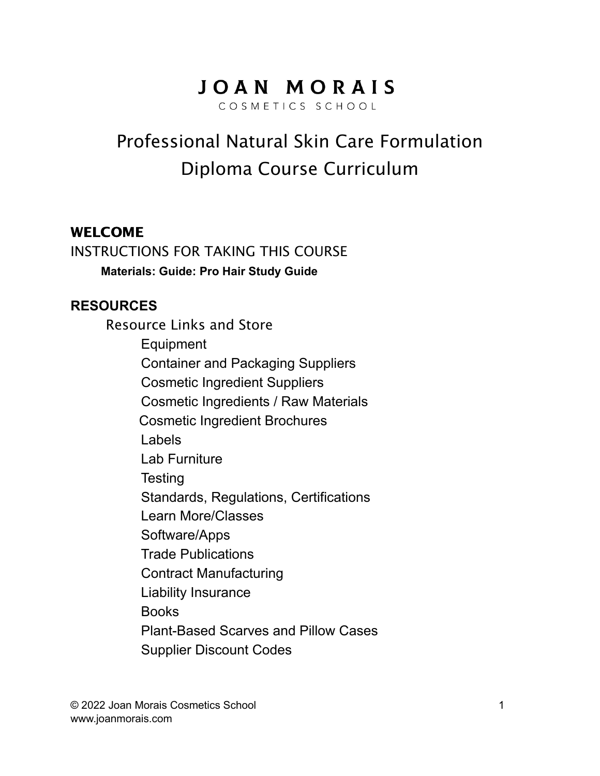# JOAN MORAIS

COSMETICS SCHOOL

# Professional Natural Skin Care Formulation Diploma Course Curriculum

#### WELCOME

INSTRUCTIONS FOR TAKING THIS COURSE **Materials: Guide: Pro Hair Study Guide**

#### **RESOURCES**

Resource Links and Store Equipment Container and Packaging Suppliers Cosmetic Ingredient Suppliers Cosmetic Ingredients / Raw Materials Cosmetic Ingredient Brochures Labels Lab Furniture **Testing** Standards, Regulations, Certifications Learn More/Classes Software/Apps Trade Publications Contract Manufacturing Liability Insurance Books Plant-Based Scarves and Pillow Cases Supplier Discount Codes

© 2022 Joan Morais Cosmetics School 1 www.joanmorais.com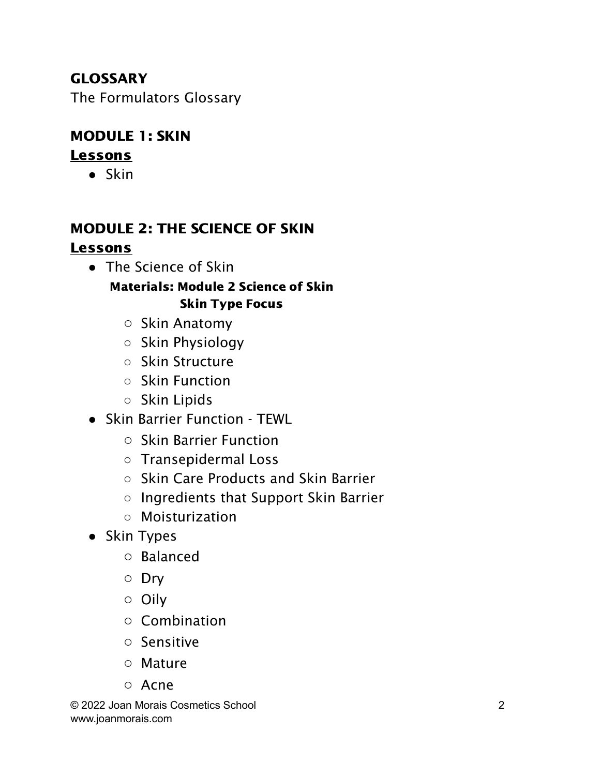# **GLOSSARY**

The Formulators Glossary

# MODULE 1: SKIN

## **Lessons**

● Skin

## MODULE 2: THE SCIENCE OF SKIN Lessons

● The Science of Skin

#### Materials: Module 2 Science of Skin Skin Type Focus

- Skin Anatomy
- Skin Physiology
- Skin Structure
- Skin Function
- Skin Lipids
- Skin Barrier Function TEWL
	- Skin Barrier Function
	- Transepidermal Loss
	- Skin Care Products and Skin Barrier
	- Ingredients that Support Skin Barrier
	- Moisturization
- Skin Types
	- Balanced
	- Dry
	- Oily
	- Combination
	- Sensitive
	- Mature
	- Acne

© 2022 Joan Morais Cosmetics School 2 www.joanmorais.com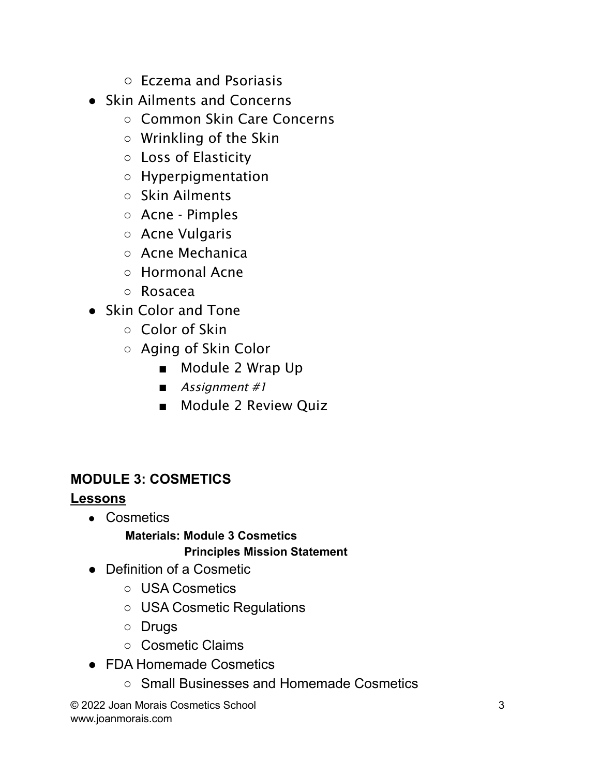- Eczema and Psoriasis
- Skin Ailments and Concerns
	- Common Skin Care Concerns
	- Wrinkling of the Skin
	- Loss of Elasticity
	- Hyperpigmentation
	- Skin Ailments
	- Acne Pimples
	- Acne Vulgaris
	- Acne Mechanica
	- Hormonal Acne
	- Rosacea
- Skin Color and Tone
	- Color of Skin
	- Aging of Skin Color
		- Module 2 Wrap Up
		- Assignment #1
		- Module 2 Review Quiz

## **MODULE 3: COSMETICS**

## **Lessons**

- Cosmetics
	- **Materials: Module 3 Cosmetics Principles Mission Statement**
- Definition of a Cosmetic
	- USA Cosmetics
	- USA Cosmetic Regulations
	- Drugs
	- Cosmetic Claims
- FDA Homemade Cosmetics
	- Small Businesses and Homemade Cosmetics

© 2022 Joan Morais Cosmetics School 3 www.joanmorais.com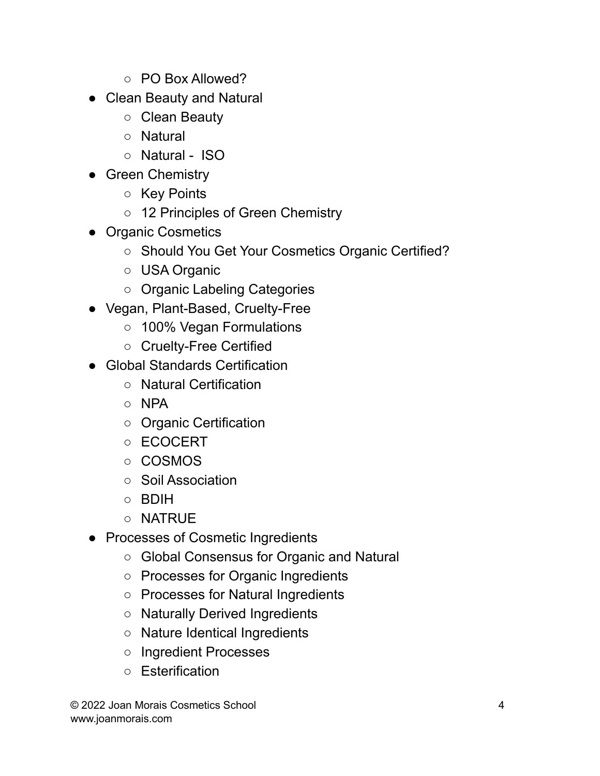- PO Box Allowed?
- Clean Beauty and Natural
	- Clean Beauty
	- Natural
	- Natural ISO
- Green Chemistry
	- Key Points
	- 12 Principles of Green Chemistry
- Organic Cosmetics
	- Should You Get Your Cosmetics Organic Certified?
	- USA Organic
	- Organic Labeling Categories
- Vegan, Plant-Based, Cruelty-Free
	- 100% Vegan Formulations
	- Cruelty-Free Certified
- Global Standards Certification
	- Natural Certification
	- NPA
	- Organic Certification
	- ECOCERT
	- COSMOS
	- Soil Association
	- BDIH
	- NATRUE
- Processes of Cosmetic Ingredients
	- Global Consensus for Organic and Natural
	- Processes for Organic Ingredients
	- Processes for Natural Ingredients
	- Naturally Derived Ingredients
	- Nature Identical Ingredients
	- Ingredient Processes
	- Esterification

© 2022 Joan Morais Cosmetics School 4 www.joanmorais.com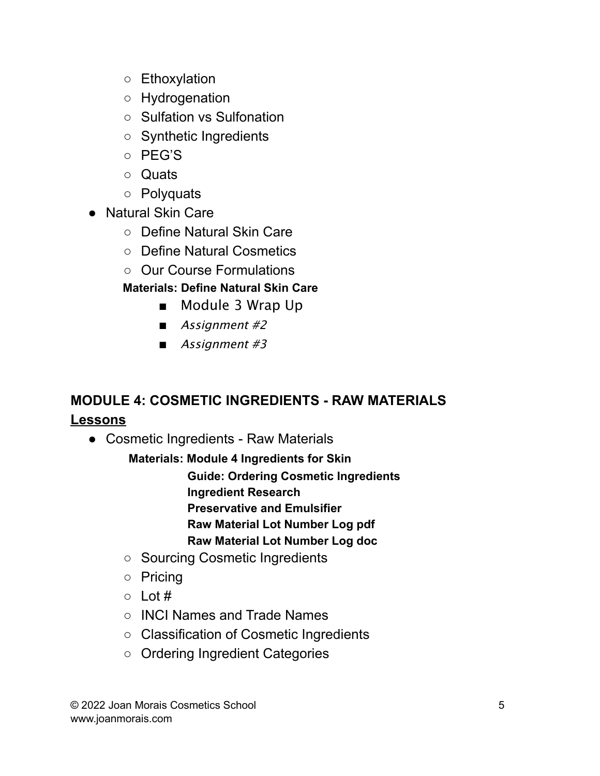- Ethoxylation
- Hydrogenation
- Sulfation vs Sulfonation
- Synthetic Ingredients
- PEG'S
- Quats
- Polyquats
- Natural Skin Care
	- Define Natural Skin Care
	- Define Natural Cosmetics
	- Our Course Formulations

## **Materials: Define Natural Skin Care**

- Module 3 Wrap Up
- Assignment #2
- Assignment #3

# **MODULE 4: COSMETIC INGREDIENTS - RAW MATERIALS Lessons**

● Cosmetic Ingredients - Raw Materials

**Materials: Module 4 Ingredients for Skin Guide: Ordering Cosmetic Ingredients Ingredient Research Preservative and Emulsifier Raw Material Lot Number Log pdf**

- **Raw Material Lot Number Log doc**
- Sourcing Cosmetic Ingredients
- Pricing
- $\circ$  Lot #
- INCI Names and Trade Names
- Classification of Cosmetic Ingredients
- Ordering Ingredient Categories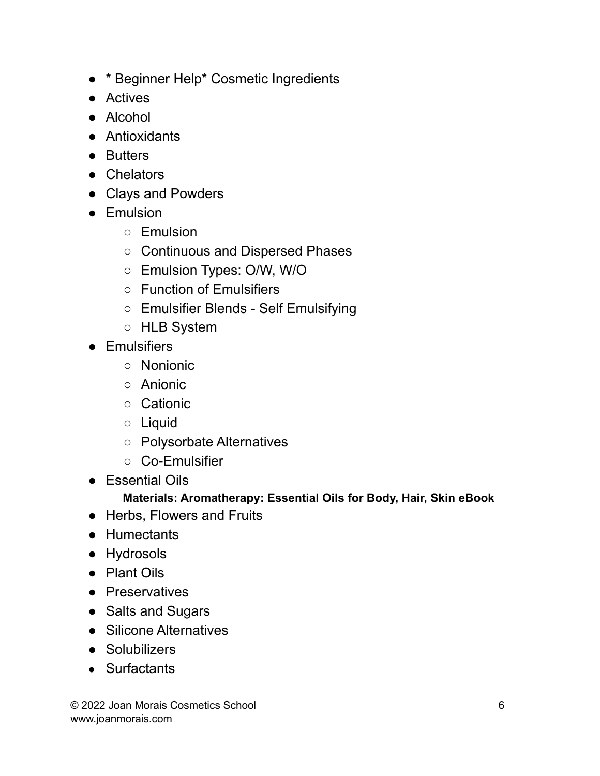- \* Beginner Help\* Cosmetic Ingredients
- Actives
- Alcohol
- Antioxidants
- Butters
- Chelators
- Clays and Powders
- Emulsion
	- Emulsion
	- Continuous and Dispersed Phases
	- Emulsion Types: O/W, W/O
	- Function of Emulsifiers
	- Emulsifier Blends Self Emulsifying
	- HLB System
- Emulsifiers
	- Nonionic
	- Anionic
	- Cationic
	- Liquid
	- Polysorbate Alternatives
	- Co-Emulsifier
- Essential Oils

#### **Materials: Aromatherapy: Essential Oils for Body, Hair, Skin eBook**

- Herbs, Flowers and Fruits
- Humectants
- Hydrosols
- Plant Oils
- Preservatives
- Salts and Sugars
- Silicone Alternatives
- Solubilizers
- Surfactants

© 2022 Joan Morais Cosmetics School 6 www.joanmorais.com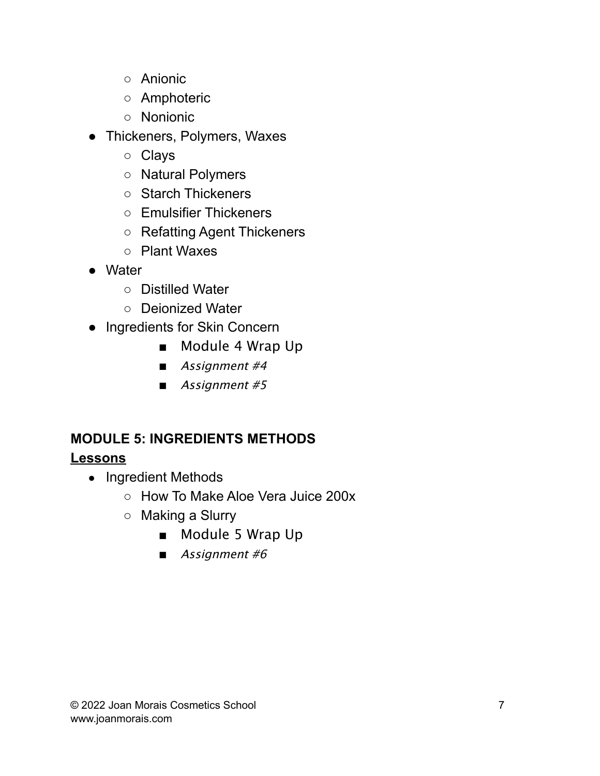- Anionic
- Amphoteric
- Nonionic
- Thickeners, Polymers, Waxes
	- Clays
	- Natural Polymers
	- Starch Thickeners
	- Emulsifier Thickeners
	- Refatting Agent Thickeners
	- Plant Waxes
- Water
	- Distilled Water
	- Deionized Water
- Ingredients for Skin Concern
	- Module 4 Wrap Up
	- Assignment #4
	- Assignment #5

# **MODULE 5: INGREDIENTS METHODS**

## **Lessons**

- Ingredient Methods
	- How To Make Aloe Vera Juice 200x
	- Making a Slurry
		- Module 5 Wrap Up
		- Assignment #6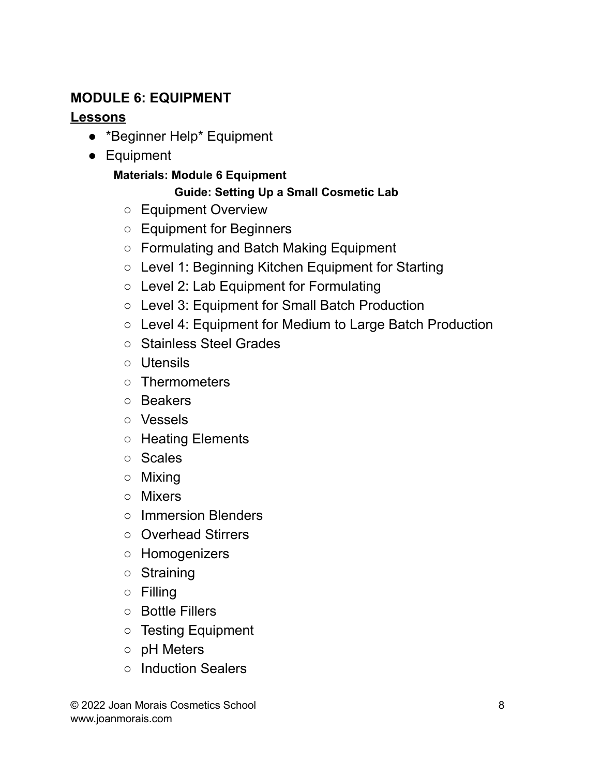## **MODULE 6: EQUIPMENT**

#### **Lessons**

- \*Beginner Help\* Equipment
- Equipment

#### **Materials: Module 6 Equipment**

#### **Guide: Setting Up a Small Cosmetic Lab**

- Equipment Overview
- Equipment for Beginners
- Formulating and Batch Making Equipment
- Level 1: Beginning Kitchen Equipment for Starting
- Level 2: Lab Equipment for Formulating
- Level 3: Equipment for Small Batch Production
- Level 4: Equipment for Medium to Large Batch Production
- Stainless Steel Grades
- Utensils
- Thermometers
- Beakers
- Vessels
- Heating Elements
- Scales
- Mixing
- Mixers
- Immersion Blenders
- Overhead Stirrers
- Homogenizers
- Straining
- Filling
- Bottle Fillers
- Testing Equipment
- pH Meters
- Induction Sealers

© 2022 Joan Morais Cosmetics School 8 www.joanmorais.com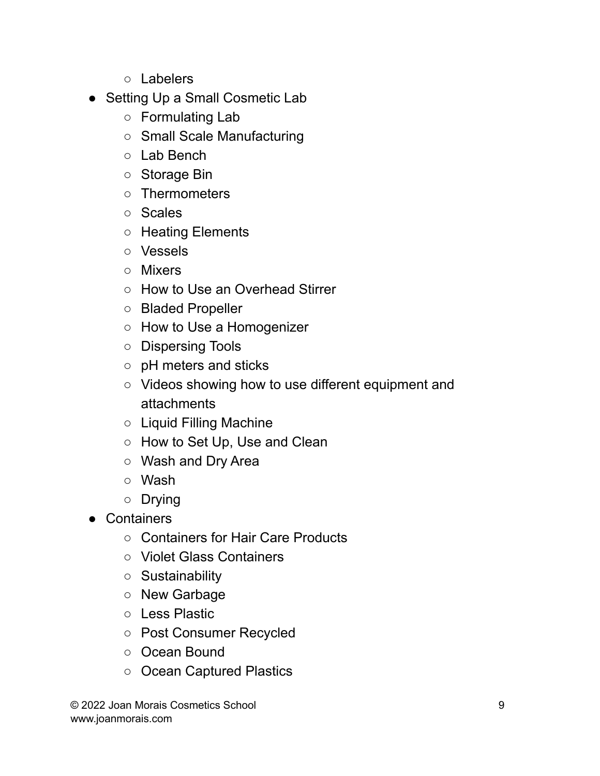- Labelers
- Setting Up a Small Cosmetic Lab
	- Formulating Lab
	- Small Scale Manufacturing
	- Lab Bench
	- Storage Bin
	- Thermometers
	- Scales
	- Heating Elements
	- Vessels
	- Mixers
	- How to Use an Overhead Stirrer
	- Bladed Propeller
	- How to Use a Homogenizer
	- Dispersing Tools
	- pH meters and sticks
	- Videos showing how to use different equipment and attachments
	- Liquid Filling Machine
	- How to Set Up, Use and Clean
	- Wash and Dry Area
	- Wash
	- Drying
- Containers
	- Containers for Hair Care Products
	- Violet Glass Containers
	- Sustainability
	- New Garbage
	- Less Plastic
	- Post Consumer Recycled
	- Ocean Bound
	- Ocean Captured Plastics

© 2022 Joan Morais Cosmetics School 9 www.joanmorais.com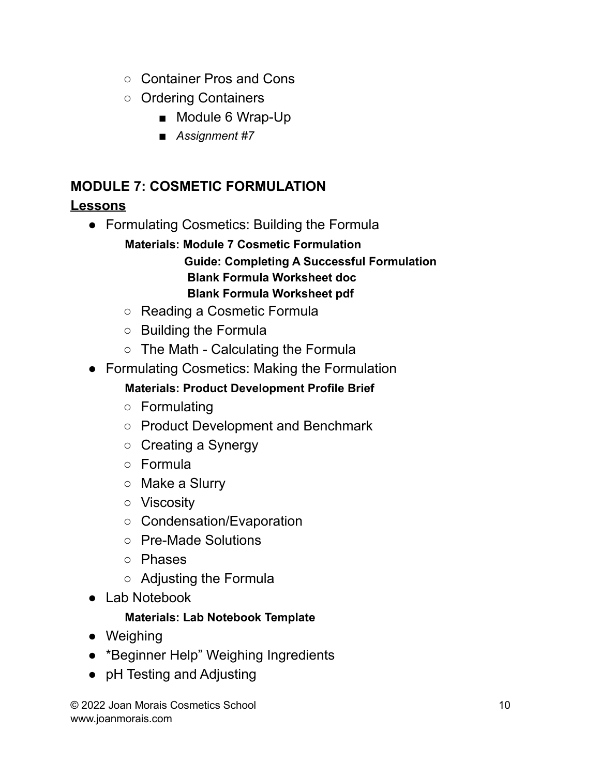- Container Pros and Cons
- Ordering Containers
	- Module 6 Wrap-Up
	- *Assignment #7*

## **MODULE 7: COSMETIC FORMULATION**

## **Lessons**

- Formulating Cosmetics: Building the Formula
	- **Materials: Module 7 Cosmetic Formulation**

#### **Guide: Completing A Successful Formulation Blank Formula Worksheet doc Blank Formula Worksheet pdf**

- Reading a Cosmetic Formula
- Building the Formula
- $\circ$  The Math Calculating the Formula
- Formulating Cosmetics: Making the Formulation
	- **Materials: Product Development Profile Brief**
	- Formulating
	- Product Development and Benchmark
	- Creating a Synergy
	- Formula
	- Make a Slurry
	- Viscosity
	- Condensation/Evaporation
	- Pre-Made Solutions
	- Phases
	- Adjusting the Formula
- Lab Notebook

#### **Materials: Lab Notebook Template**

- Weighing
- \*Beginner Help" Weighing Ingredients
- pH Testing and Adjusting

© 2022 Joan Morais Cosmetics School 10 www.joanmorais.com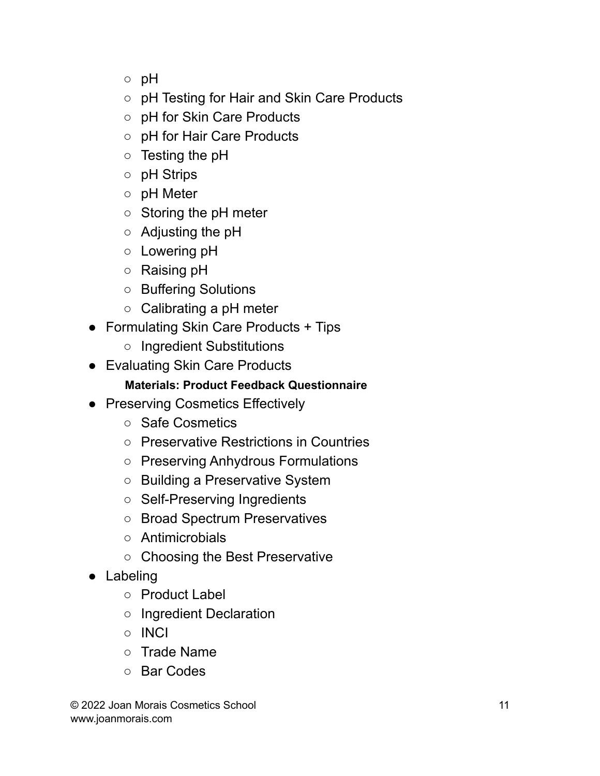- pH
- pH Testing for Hair and Skin Care Products
- pH for Skin Care Products
- pH for Hair Care Products
- $\circ$  Testing the pH
- pH Strips
- pH Meter
- Storing the pH meter
- $\circ$  Adjusting the pH
- Lowering pH
- Raising pH
- Buffering Solutions
- $\circ$  Calibrating a pH meter
- Formulating Skin Care Products + Tips
	- Ingredient Substitutions
- Evaluating Skin Care Products

#### **Materials: Product Feedback Questionnaire**

- Preserving Cosmetics Effectively
	- Safe Cosmetics
	- Preservative Restrictions in Countries
	- Preserving Anhydrous Formulations
	- Building a Preservative System
	- Self-Preserving Ingredients
	- Broad Spectrum Preservatives
	- Antimicrobials
	- Choosing the Best Preservative
- Labeling
	- Product Label
	- Ingredient Declaration
	- INCI
	- Trade Name
	- Bar Codes

© 2022 Joan Morais Cosmetics School 11 www.joanmorais.com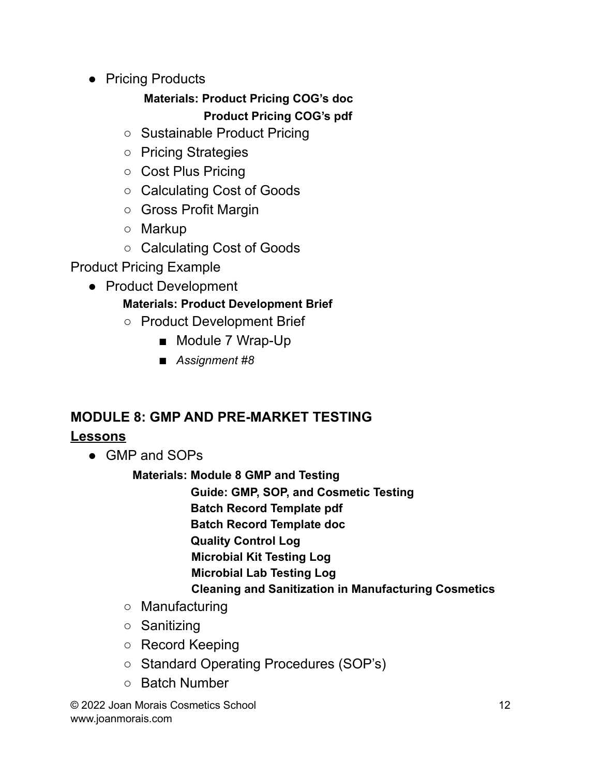● Pricing Products

## **Materials: Product Pricing COG's doc Product Pricing COG's pdf**

- Sustainable Product Pricing
- Pricing Strategies
- Cost Plus Pricing
- Calculating Cost of Goods
- Gross Profit Margin
- Markup
- Calculating Cost of Goods

Product Pricing Example

● Product Development

## **Materials: Product Development Brief**

- Product Development Brief
	- Module 7 Wrap-Up
	- *Assignment #8*

# **MODULE 8: GMP AND PRE-MARKET TESTING**

## **Lessons**

• GMP and SOPs

**Materials: Module 8 GMP and Testing**

**Guide: GMP, SOP, and Cosmetic Testing**

**Batch Record Template pdf**

**Batch Record Template doc**

**Quality Control Log**

**Microbial Kit Testing Log**

**Microbial Lab Testing Log**

**Cleaning and Sanitization in Manufacturing Cosmetics**

- Manufacturing
- Sanitizing
- Record Keeping
- Standard Operating Procedures (SOP's)
- Batch Number

© 2022 Joan Morais Cosmetics School 12 www.joanmorais.com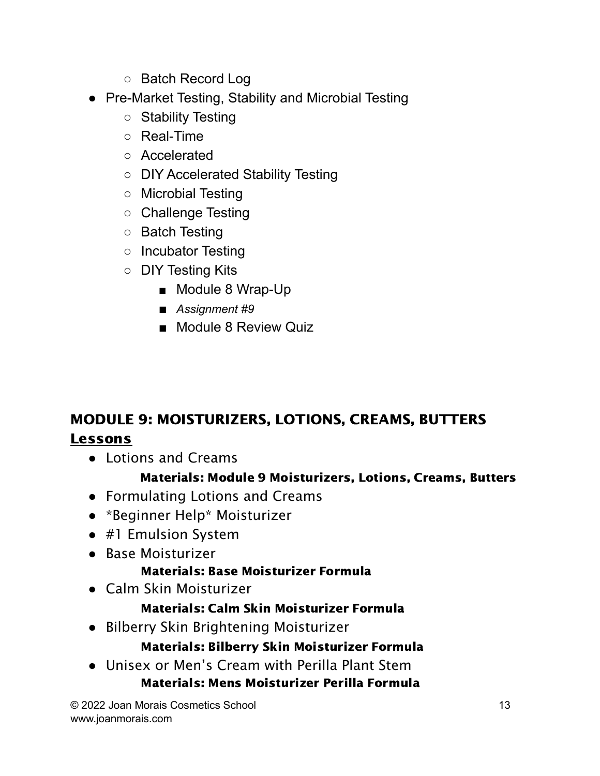- Batch Record Log
- Pre-Market Testing, Stability and Microbial Testing
	- Stability Testing
	- Real-Time
	- Accelerated
	- DIY Accelerated Stability Testing
	- Microbial Testing
	- Challenge Testing
	- Batch Testing
	- Incubator Testing
	- DIY Testing Kits
		- Module 8 Wrap-Up
		- *Assignment* #9
		- Module 8 Review Quiz

# MODULE 9: MOISTURIZERS, LOTIONS, CREAMS, BUTTERS Lessons

● Lotions and Creams

## Materials: Module 9 Moisturizers, Lotions, Creams, Butters

- Formulating Lotions and Creams
- \*Beginner Help\* Moisturizer
- #1 Emulsion System
- Base Moisturizer

## Materials: Base Moisturizer Formula

● Calm Skin Moisturizer

## Materials: Calm Skin Moisturizer Formula

● Bilberry Skin Brightening Moisturizer

## Materials: Bilberry Skin Moisturizer Formula

● Unisex or Men's Cream with Perilla Plant Stem Materials: Mens Moisturizer Perilla Formula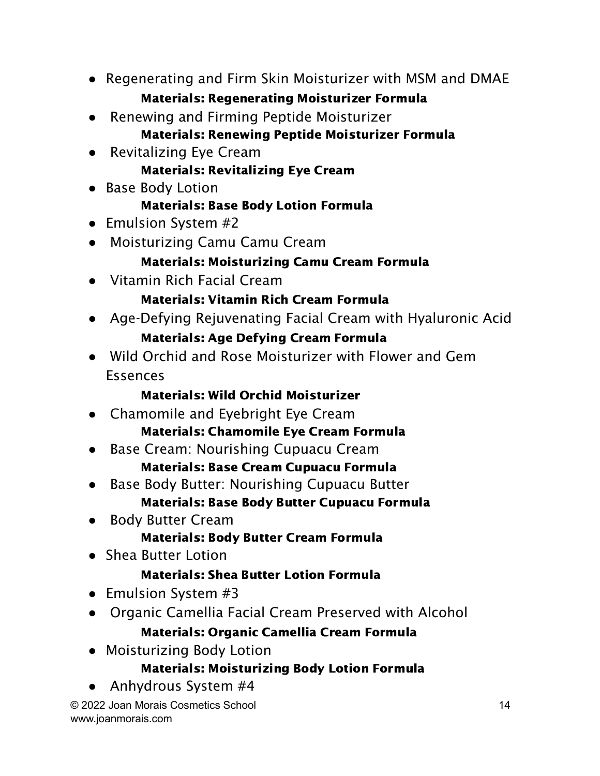- Regenerating and Firm Skin Moisturizer with MSM and DMAE Materials: Regenerating Moisturizer Formula
- Renewing and Firming Peptide Moisturizer Materials: Renewing Peptide Moisturizer Formula
- Revitalizing Eye Cream Materials: Revitalizing Eye Cream
- Base Body Lotion

# Materials: Base Body Lotion Formula

- Emulsion System #2
- Moisturizing Camu Camu Cream

# Materials: Moisturizing Camu Cream Formula

● Vitamin Rich Facial Cream

# Materials: Vitamin Rich Cream Formula

- Age-Defying Rejuvenating Facial Cream with Hyaluronic Acid Materials: Age Defying Cream Formula
- Wild Orchid and Rose Moisturizer with Flower and Gem Essences

# Materials: Wild Orchid Moisturizer

- Chamomile and Eyebright Eye Cream Materials: Chamomile Eye Cream Formula
- Base Cream: Nourishing Cupuacu Cream Materials: Base Cream Cupuacu Formula
- Base Body Butter: Nourishing Cupuacu Butter Materials: Base Body Butter Cupuacu Formula
- Body Butter Cream Materials: Body Butter Cream Formula
- Shea Butter Lotion

# Materials: Shea Butter Lotion Formula

- Emulsion System #3
- Organic Camellia Facial Cream Preserved with Alcohol Materials: Organic Camellia Cream Formula
- Moisturizing Body Lotion

## Materials: Moisturizing Body Lotion Formula

Anhydrous System #4

© 2022 Joan Morais Cosmetics School 14 www.joanmorais.com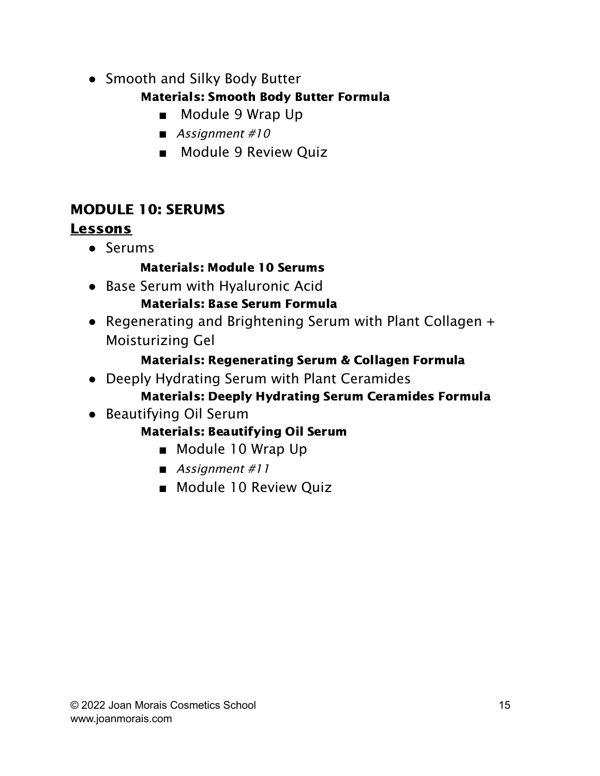• Smooth and Silky Body Butter

## Materials: Smooth Body Butter Formula

- Module 9 Wrap Up
- *■* Assignment #10
- Module 9 Review Quiz

# MODULE 10: SERUMS

# Lessons

● Serums

## Materials: Module 10 Serums

● Base Serum with Hyaluronic Acid

## Materials: Base Serum Formula

● Regenerating and Brightening Serum with Plant Collagen + Moisturizing Gel

## Materials: Regenerating Serum & Collagen Formula

- Deeply Hydrating Serum with Plant Ceramides
	- Materials: Deeply Hydrating Serum Ceramides Formula
- Beautifying Oil Serum

## Materials: Beautifying Oil Serum

- Module 10 Wrap Up
- *■* Assignment #11
- Module 10 Review Quiz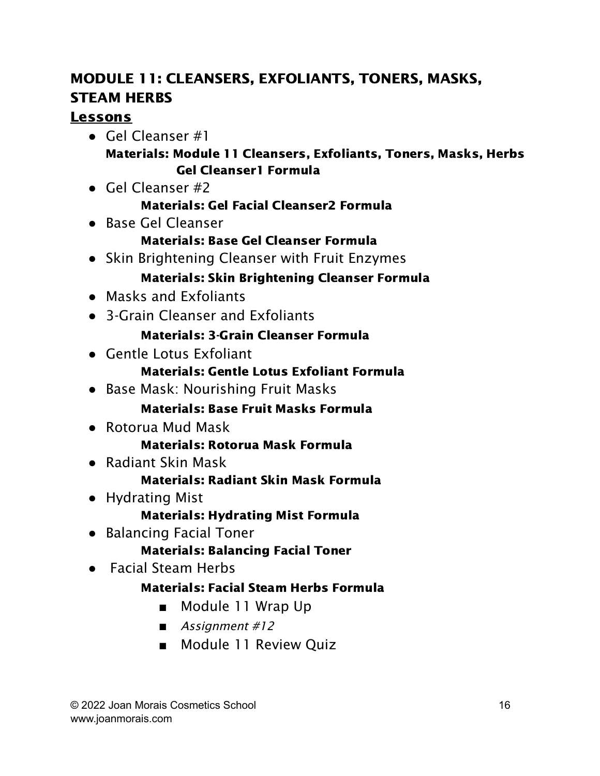# MODULE 11: CLEANSERS, EXFOLIANTS, TONERS, MASKS, STEAM HERBS

## Lessons

- $\bullet$  Gel Cleanser #1 Materials: Module 11 Cleansers, Exfoliants, Toners, Masks, Herbs Gel Cleanser1 Formula
- $\bullet$  Gel Cleanser #2

#### Materials: Gel Facial Cleanser2 Formula

● Base Gel Cleanser

#### Materials: Base Gel Cleanser Formula

● Skin Brightening Cleanser with Fruit Enzymes

#### Materials: Skin Brightening Cleanser Formula

- Masks and Exfoliants
- 3-Grain Cleanser and Exfoliants

#### Materials: 3-Grain Cleanser Formula

● Gentle Lotus Exfoliant

#### Materials: Gentle Lotus Exfoliant Formula

● Base Mask: Nourishing Fruit Masks

#### Materials: Base Fruit Masks Formula

● Rotorua Mud Mask

#### Materials: Rotorua Mask Formula

● Radiant Skin Mask

#### Materials: Radiant Skin Mask Formula

- Hydrating Mist
	- Materials: Hydrating Mist Formula
- Balancing Facial Toner
	- Materials: Balancing Facial Toner
- Facial Steam Herbs

## Materials: Facial Steam Herbs Formula

- Module 11 Wrap Up
- *■* Assignment #12
- Module 11 Review Quiz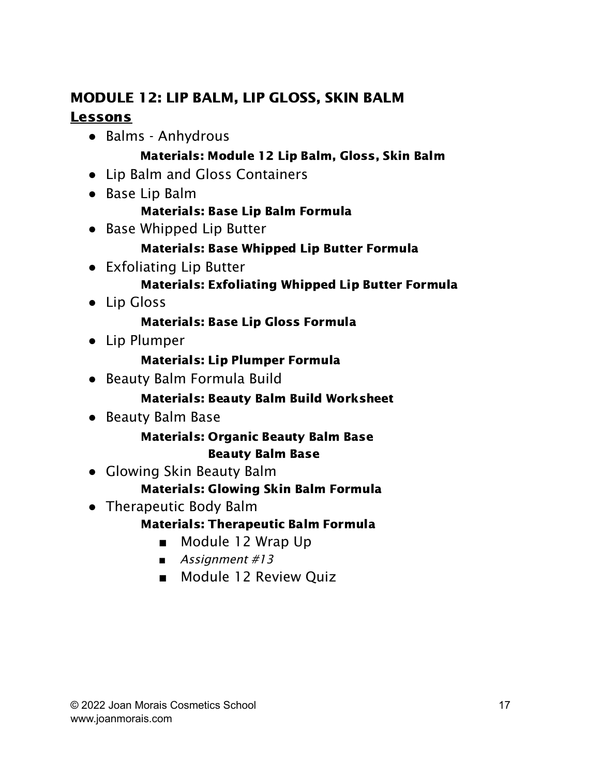# MODULE 12: LIP BALM, LIP GLOSS, SKIN BALM **Lessons**

● Balms - Anhydrous

#### Materials: Module 12 Lip Balm, Gloss, Skin Balm

- Lip Balm and Gloss Containers
- Base Lip Balm

#### Materials: Base Lip Balm Formula

• Base Whipped Lip Butter

## Materials: Base Whipped Lip Butter Formula

● Exfoliating Lip Butter

#### Materials: Exfoliating Whipped Lip Butter Formula

● Lip Gloss

## Materials: Base Lip Gloss Formula

● Lip Plumper

#### Materials: Lip Plumper Formula

● Beauty Balm Formula Build

#### Materials: Beauty Balm Build Worksheet

● Beauty Balm Base

#### Materials: Organic Beauty Balm Base Beauty Balm Base

• Glowing Skin Beauty Balm

## Materials: Glowing Skin Balm Formula

• Therapeutic Body Balm

## Materials: Therapeutic Balm Formula

- Module 12 Wrap Up
- Assignment #13
- Module 12 Review Quiz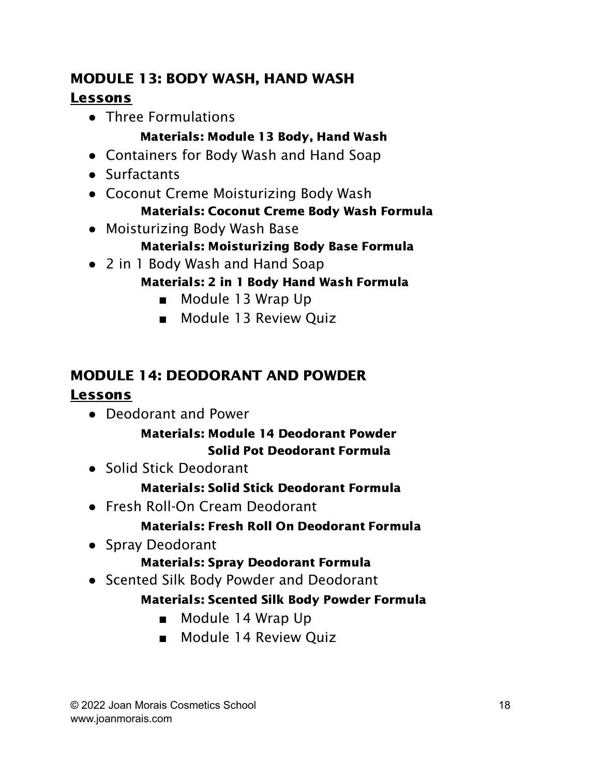# MODULE 13: BODY WASH, HAND WASH Lessons

● Three Formulations

## Materials: Module 13 Body, Hand Wash

- Containers for Body Wash and Hand Soap
- Surfactants
- Coconut Creme Moisturizing Body Wash Materials: Coconut Creme Body Wash Formula
- Moisturizing Body Wash Base

#### Materials: Moisturizing Body Base Formula

- 2 in 1 Body Wash and Hand Soap
	- Materials: 2 in 1 Body Hand Wash Formula
		- Module 13 Wrap Up
		- Module 13 Review Ouiz

# MODULE 14: DEODORANT AND POWDER

#### Lessons

● Deodorant and Power

#### Materials: Module 14 Deodorant Powder Solid Pot Deodorant Formula

• Solid Stick Deodorant

#### Materials: Solid Stick Deodorant Formula

● Fresh Roll-On Cream Deodorant

#### Materials: Fresh Roll On Deodorant Formula

• Spray Deodorant

#### Materials: Spray Deodorant Formula

● Scented Silk Body Powder and Deodorant

#### Materials: Scented Silk Body Powder Formula

- Module 14 Wrap Up
- Module 14 Review Quiz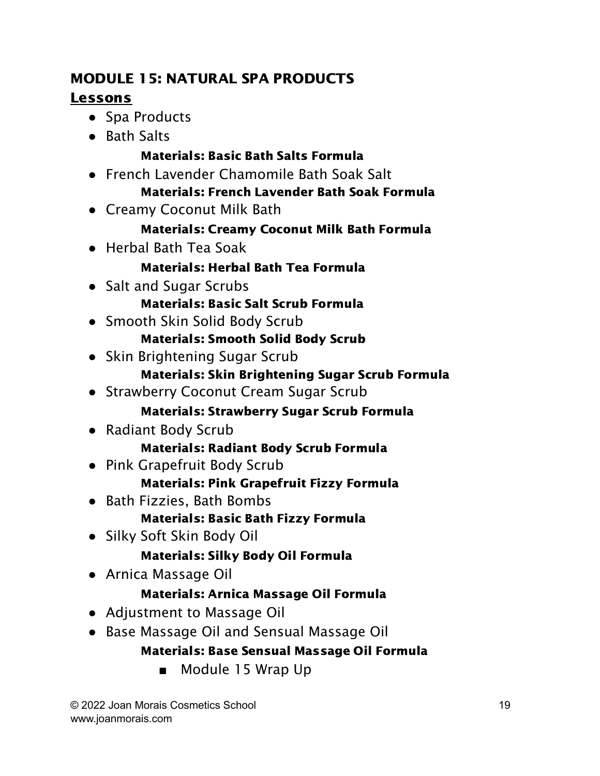## MODULE 15: NATURAL SPA PRODUCTS Lessons

- Spa Products
- Bath Salts

## Materials: Basic Bath Salts Formula

- French Lavender Chamomile Bath Soak Salt Materials: French Lavender Bath Soak Formula
- Creamy Coconut Milk Bath

## Materials: Creamy Coconut Milk Bath Formula

● Herbal Bath Tea Soak

## Materials: Herbal Bath Tea Formula

● Salt and Sugar Scrubs

## Materials: Basic Salt Scrub Formula

• Smooth Skin Solid Body Scrub

## Materials: Smooth Solid Body Scrub

• Skin Brightening Sugar Scrub

## Materials: Skin Brightening Sugar Scrub Formula

● Strawberry Coconut Cream Sugar Scrub

## Materials: Strawberry Sugar Scrub Formula

● Radiant Body Scrub

## Materials: Radiant Body Scrub Formula

● Pink Grapefruit Body Scrub

## Materials: Pink Grapefruit Fizzy Formula

- Bath Fizzies, Bath Bombs Materials: Basic Bath Fizzy Formula
- Silky Soft Skin Body Oil

## Materials: Silky Body Oil Formula

● Arnica Massage Oil

## Materials: Arnica Massage Oil Formula

- Adjustment to Massage Oil
- Base Massage Oil and Sensual Massage Oil

## Materials: Base Sensual Massage Oil Formula

■ Module 15 Wrap Up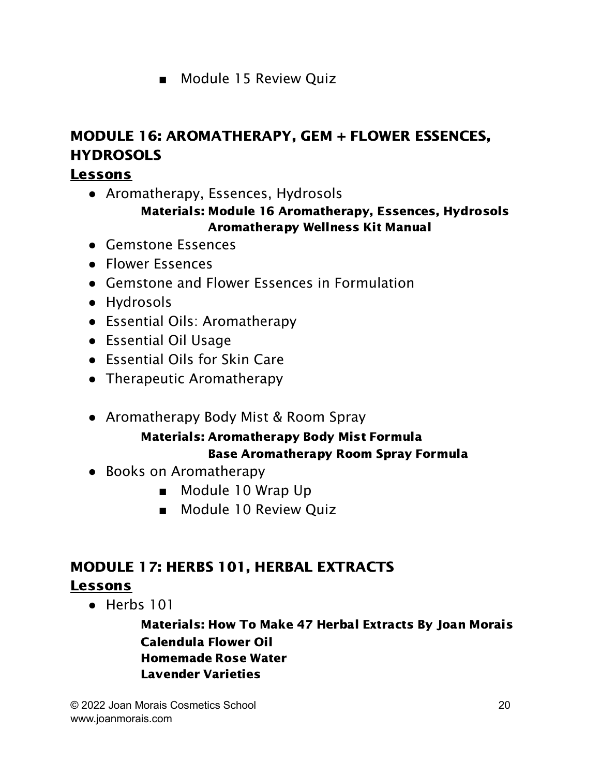■ Module 15 Review Quiz

# MODULE 16: AROMATHERAPY, GEM + FLOWER ESSENCES, **HYDROSOLS**

## Lessons

• Aromatherapy, Essences, Hydrosols

#### Materials: Module 16 Aromatherapy, Essences, Hydrosols Aromatherapy Wellness Kit Manual

- Gemstone Essences
- Flower Essences
- Gemstone and Flower Essences in Formulation
- Hydrosols
- Essential Oils: Aromatherapy
- Essential Oil Usage
- Essential Oils for Skin Care
- Therapeutic Aromatherapy
- Aromatherapy Body Mist & Room Spray

## Materials: Aromatherapy Body Mist Formula Base Aromatherapy Room Spray Formula

- Books on Aromatherapy
	- Module 10 Wrap Up
	- Module 10 Review Quiz

## MODULE 17: HERBS 101, HERBAL EXTRACTS Lessons

● Herbs 101

Materials: How To Make 47 Herbal Extracts By Joan Morais Calendula Flower Oil Homemade Rose Water Lavender Varieties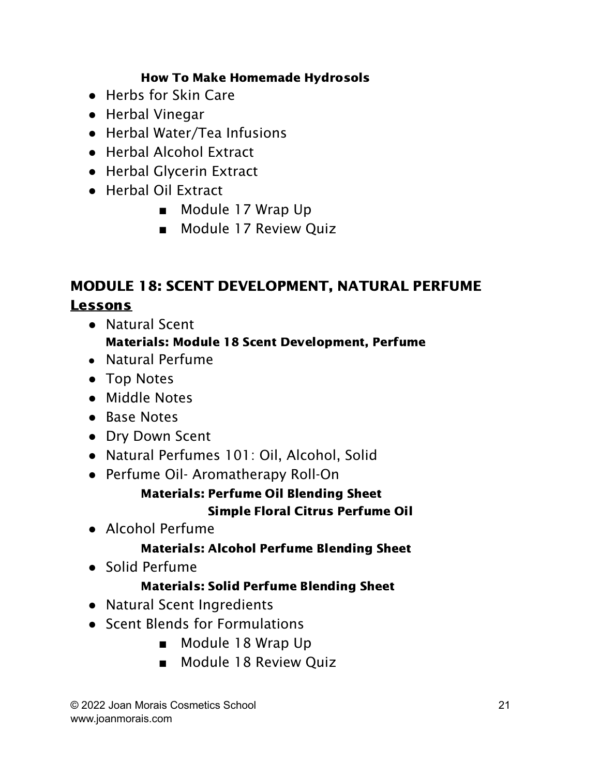#### How To Make Homemade Hydrosols

- Herbs for Skin Care
- Herbal Vinegar
- Herbal Water/Tea Infusions
- Herbal Alcohol Extract
- Herbal Glycerin Extract
- Herbal Oil Extract
	- Module 17 Wrap Up
	- Module 17 Review Quiz

# MODULE 18: SCENT DEVELOPMENT, NATURAL PERFUME Lessons

● Natural Scent

#### Materials: Module 18 Scent Development, Perfume

- **●** Natural Perfume
- Top Notes
- Middle Notes
- Base Notes
- Dry Down Scent
- Natural Perfumes 101: Oil, Alcohol, Solid
- Perfume Oil- Aromatherapy Roll-On

## Materials: Perfume Oil Blending Sheet Simple Floral Citrus Perfume Oil

● Alcohol Perfume

## Materials: Alcohol Perfume Blending Sheet

● Solid Perfume

#### Materials: Solid Perfume Blending Sheet

- Natural Scent Ingredients
- Scent Blends for Formulations
	- Module 18 Wrap Up
	- Module 18 Review Quiz